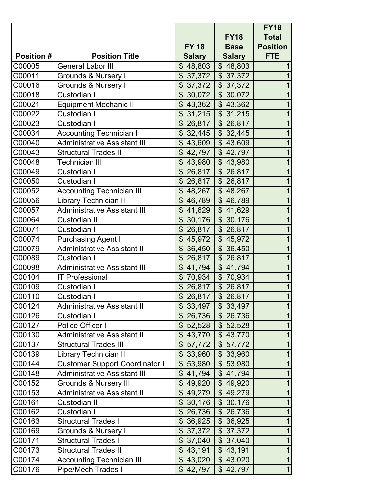|                   |                                       |                          |                                     | <b>FY18</b>     |
|-------------------|---------------------------------------|--------------------------|-------------------------------------|-----------------|
|                   |                                       |                          | <b>FY18</b>                         | <b>Total</b>    |
|                   |                                       | <b>FY 18</b>             | <b>Base</b>                         | <b>Position</b> |
| <b>Position #</b> | <b>Position Title</b>                 | <b>Salary</b>            | <b>Salary</b>                       | <b>FTE</b>      |
| C00005            | <b>General Labor III</b>              | \$48,803                 | \$48,803                            | $\mathbf 1$     |
| C00011            | Grounds & Nursery I                   | \$37,372                 | \$37,372                            | $\overline{1}$  |
| C00016            | Grounds & Nursery I                   | $\mathfrak{S}$<br>37,372 | \$37,372                            | $\mathbf{1}$    |
| C00018            | Custodian I                           | $\mathfrak{S}$<br>30,072 | \$30,072                            | $\mathbf{1}$    |
| C00021            | <b>Equipment Mechanic II</b>          | \$43,362                 | \$43,362                            | $\mathbf{1}$    |
| C00022            | Custodian I                           | $\mathfrak{S}$<br>31,215 | $\mathfrak{S}$<br>31,215            | $\mathbf{1}$    |
| C00023            | Custodian I                           | $\mathfrak{L}$<br>26,817 | \$26,817                            | $\overline{1}$  |
| C00034            | <b>Accounting Technician I</b>        | $\mathfrak{S}$<br>32,445 | \$32,445                            | $\mathbf{1}$    |
| C00040            | <b>Administrative Assistant III</b>   | \$43,609                 | \$43,609                            | $\mathbf{1}$    |
| C00043            | <b>Structural Trades II</b>           | $\mathfrak{L}$<br>42,797 | \$42,797                            | $\overline{1}$  |
| C00048            | <b>Technician III</b>                 | $\mathfrak{S}$<br>43,980 | \$43,980                            | $\overline{1}$  |
| C00049            | Custodian I                           | \$26,817                 | \$26,817                            | $\overline{1}$  |
| C00050            | Custodian I                           | $\mathfrak{L}$<br>26,817 | \$26,817                            | $\overline{1}$  |
| C00052            | <b>Accounting Technician III</b>      | $\mathfrak{L}$<br>48,267 | \$48,267                            | $\overline{1}$  |
| C00056            | Library Technician II                 | \$<br>46,789             | \$46,789                            | $\overline{1}$  |
| C00057            | <b>Administrative Assistant III</b>   | \$41,629                 | \$41,629                            | $\overline{1}$  |
| C00064            | <b>Custodian II</b>                   | $\mathfrak{S}$<br>30,176 | $\boldsymbol{\mathsf{S}}$<br>30,176 | $\mathbf{1}$    |
| C00071            | Custodian I                           | $\mathfrak{S}$<br>26,817 | \$26,817                            | $\mathbf 1$     |
| C00074            | <b>Purchasing Agent I</b>             | $\mathfrak{S}$<br>45,972 | \$45,972                            | $\mathbf 1$     |
| C00079            | <b>Administrative Assistant II</b>    | \$36,450                 | $\mathcal{S}$<br>36,450             | $\mathbf{1}$    |
| C00089            | Custodian I                           | \$26,817                 | \$26,817                            | $\overline{1}$  |
| C00098            | <b>Administrative Assistant III</b>   | \$41,794                 | \$41,794                            | $\overline{1}$  |
| C00104            | <b>IT Professional</b>                | $\mathfrak{L}$<br>70,934 | $\boldsymbol{\mathsf{S}}$<br>70,934 | 1               |
| C00109            | Custodian I                           | \$26,817                 | \$26,817                            | $\overline{1}$  |
| C00110            | Custodian I                           | \$26,817                 | \$26,817                            | $\overline{1}$  |
| C00124            | <b>Administrative Assistant II</b>    |                          | $$33,497$ $$33,497$                 | $\overline{A}$  |
| C00126            | Custodian I                           | \$26,736                 | \$26,736                            | $\mathbf{1}$    |
| C00127            | Police Officer I                      | \$52,528                 | \$52,528                            | $\mathbf{1}$    |
| C00130            | <b>Administrative Assistant II</b>    | \$43,770                 | \$43,770                            | $\mathbf{1}$    |
| C00137            | <b>Structural Trades III</b>          | \$57,772                 | \$57,772                            | $\mathbf{1}$    |
| C00139            | Library Technician II                 | \$33,960                 | \$33,960                            | $\mathbf{1}$    |
| C00144            | <b>Customer Support Coordinator I</b> | \$53,980                 | \$53,980                            | $\mathbf{1}$    |
| C00148            | <b>Administrative Assistant III</b>   | \$41,794                 | \$41,794                            | $\mathbf{1}$    |
| C00152            | <b>Grounds &amp; Nursery III</b>      | \$49,920                 | \$49,920                            | $\mathbf 1$     |
| C00153            | <b>Administrative Assistant II</b>    | \$49,279                 | \$49,279                            | $\mathbf{1}$    |
| C00161            | Custodian II                          | \$30,176                 | \$30,176                            | $\mathbf{1}$    |
| C00162            | Custodian I                           | \$26,736                 | \$26,736                            | $\mathbf{1}$    |
| C00163            | <b>Structural Trades I</b>            | \$36,925                 | \$36,925                            | $\mathbf{1}$    |
| C00169            | Grounds & Nursery I                   | \$37,372                 | \$37,372                            | $\overline{1}$  |
| C00171            | <b>Structural Trades I</b>            | \$37,040                 | \$37,040                            | $\mathbf{1}$    |
| C00173            | <b>Structural Trades II</b>           | \$43,191                 | \$43,191                            | $\mathbf{1}$    |
| C00174            | <b>Accounting Technician III</b>      | \$43,020                 | \$43,020                            | $\mathbf{1}$    |
| C00176            | Pipe/Mech Trades I                    | \$42,797                 | \$42,797                            | 1               |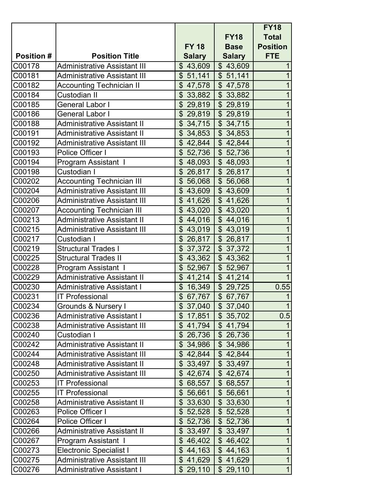|                   |                                     |                                     |                                     | <b>FY18</b>     |
|-------------------|-------------------------------------|-------------------------------------|-------------------------------------|-----------------|
|                   |                                     |                                     | <b>FY18</b>                         | <b>Total</b>    |
|                   |                                     | <b>FY 18</b>                        | <b>Base</b>                         | <b>Position</b> |
| <b>Position #</b> | <b>Position Title</b>               | <b>Salary</b>                       | <b>Salary</b>                       | <b>FTE</b>      |
| C00178            | <b>Administrative Assistant III</b> | \$43,609                            | \$43,609                            | $\mathbf{1}$    |
| C00181            | <b>Administrative Assistant III</b> | \$51,141                            | \$51,141                            | $\overline{1}$  |
| C00182            | <b>Accounting Technician II</b>     | \$47,578                            | \$47,578                            | $\mathbf{1}$    |
| C00184            | <b>Custodian II</b>                 | $\mathfrak{S}$<br>33,882            | \$33,882                            | $\mathbf{1}$    |
| C00185            | General Labor I                     | \$29,819                            | \$29,819                            | $\mathbf{1}$    |
| C00186            | <b>General Labor I</b>              | $\mathfrak{S}$<br>29,819            | \$29,819                            | $\mathbf{1}$    |
| C00188            | <b>Administrative Assistant II</b>  | $\mathfrak{S}$<br>34,715            | \$34,715                            | $\mathbf{1}$    |
| C00191            | <b>Administrative Assistant II</b>  | $\boldsymbol{\mathsf{S}}$<br>34,853 | \$34,853                            | $\overline{1}$  |
| C00192            | <b>Administrative Assistant III</b> | \$42,844                            | \$42,844                            | $\mathbf{1}$    |
| C00193            | Police Officer I                    | \$<br>52,736                        | \$52,736                            | $\overline{1}$  |
| C00194            | Program Assistant I                 | $\mathfrak{S}$<br>48,093            | \$48,093                            | $\overline{1}$  |
| C00198            | Custodian I                         | \$26,817                            | \$26,817                            | $\overline{1}$  |
| C00202            | <b>Accounting Technician III</b>    | $\mathfrak{L}$<br>56,068            | \$56,068                            | $\overline{1}$  |
| C00204            | <b>Administrative Assistant III</b> | \$43,609                            | \$43,609                            | $\overline{1}$  |
| C00206            | <b>Administrative Assistant III</b> | \$41,626                            | \$41,626                            | $\overline{1}$  |
| C00207            | <b>Accounting Technician III</b>    | \$43,020                            | \$43,020                            | $\mathbf{1}$    |
| C00213            | <b>Administrative Assistant II</b>  | $\boldsymbol{\mathsf{S}}$<br>44,016 | \$44,016                            | $\mathbf{1}$    |
| C00215            | <b>Administrative Assistant III</b> | \$43,019                            | \$43,019                            | $\mathbf{1}$    |
| C00217            | Custodian I                         | $\mathfrak{S}$<br>26,817            | \$26,817                            | $\overline{1}$  |
| C00219            | <b>Structural Trades I</b>          | $\mathfrak{L}$<br>37,372            | \$37,372                            | $\overline{1}$  |
| C00225            | <b>Structural Trades II</b>         | $\mathfrak{S}$<br>43,362            | \$43,362                            | $\overline{1}$  |
| C00228            | Program Assistant I                 | $\mathfrak{S}$<br>52,967            | $\boldsymbol{\mathsf{S}}$<br>52,967 | $\mathbf{1}$    |
| C00229            | <b>Administrative Assistant II</b>  | \$41,214                            | \$41,214                            | $\mathbf{1}$    |
| C00230            | <b>Administrative Assistant I</b>   | \$16,349                            | \$29,725                            | 0.55            |
| C00231            | <b>IT Professional</b>              | \$67,767                            | \$67,767                            | $\mathbf{1}$    |
| C00234            | Grounds & Nursery I                 | $\overline{\$}$ 37,040              | $\frac{1}{2}$ 37,040                | $\overline{1}$  |
| C00236            | <b>Administrative Assistant I</b>   | \$17,851                            | \$35,702                            | 0.5             |
| C00238            | Administrative Assistant III        | \$41,794                            | \$41,794                            |                 |
| C00240            | Custodian I                         | \$26,736                            | \$26,736                            | $\mathbf{1}$    |
| C00242            | <b>Administrative Assistant II</b>  | \$34,986                            | \$34,986                            | $\mathbf{1}$    |
| C00244            | <b>Administrative Assistant III</b> | \$42,844                            | \$42,844                            | $\mathbf{1}$    |
| C00248            | <b>Administrative Assistant II</b>  | \$33,497                            | \$33,497                            | $\mathbf{1}$    |
| C00250            | <b>Administrative Assistant III</b> | \$42,674                            | \$42,674                            | $\mathbf{1}$    |
| C00253            | <b>IT Professional</b>              | $\mathbb{S}^-$<br>68,557            | $\mathbb{S}^-$<br>68,557            | $\mathbf 1$     |
| C00255            | <b>IT Professional</b>              | $\mathbb{S}^-$<br>56,661            | \$56,661                            | $\mathbf{1}$    |
| C00258            | <b>Administrative Assistant II</b>  | \$33,630                            | \$33,630                            | $\mathbf{1}$    |
| C00263            | Police Officer I                    | \$52,528                            | \$52,528                            | $\mathbf{1}$    |
| C00264            | Police Officer I                    | \$52,736                            | \$52,736                            | $\mathbf{1}$    |
| C00266            | <b>Administrative Assistant II</b>  | \$33,497                            | \$33,497                            | $\mathbf{1}$    |
| C00267            | Program Assistant I                 | \$46,402                            | \$46,402                            | $\mathbf{1}$    |
| C00273            | <b>Electronic Specialist I</b>      | \$44,163                            | \$44,163                            | $\mathbf{1}$    |
| C00275            | <b>Administrative Assistant III</b> | \$41,629                            | \$41,629                            | $\mathbf{1}$    |
| C00276            | <b>Administrative Assistant I</b>   | \$29,110                            | \$29,110                            | 1               |